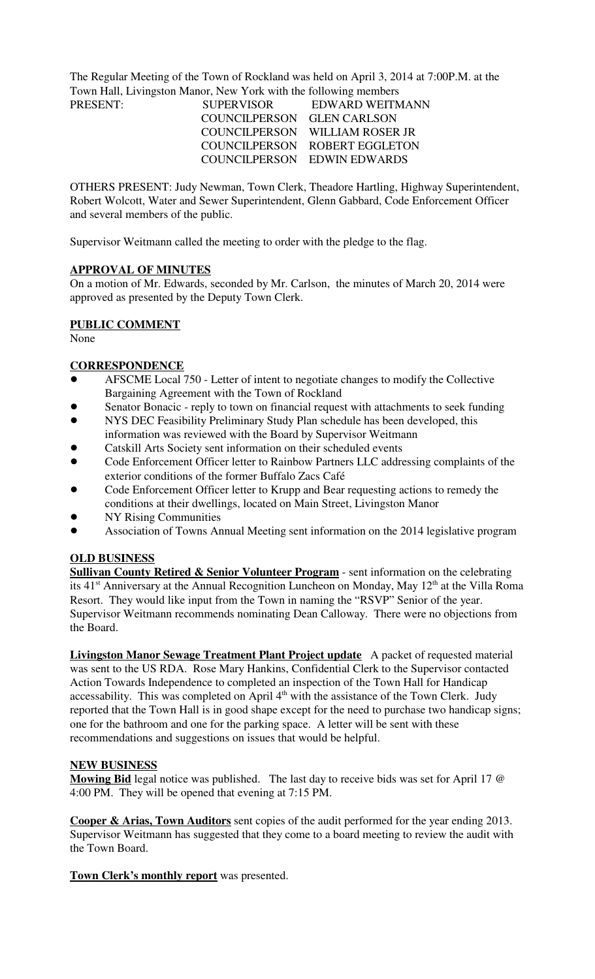The Regular Meeting of the Town of Rockland was held on April 3, 2014 at 7:00P.M. at the Town Hall, Livingston Manor, New York with the following members

| <b>SUPERVISOR</b>          | EDWARD WEITMANN                |
|----------------------------|--------------------------------|
| COUNCILPERSON GLEN CARLSON |                                |
|                            | COUNCILPERSON WILLIAM ROSER JR |
|                            | COUNCILPERSON ROBERT EGGLETON  |
|                            | COUNCILPERSON EDWIN EDWARDS    |
|                            |                                |

OTHERS PRESENT: Judy Newman, Town Clerk, Theadore Hartling, Highway Superintendent, Robert Wolcott, Water and Sewer Superintendent, Glenn Gabbard, Code Enforcement Officer and several members of the public.

Supervisor Weitmann called the meeting to order with the pledge to the flag.

### **APPROVAL OF MINUTES**

On a motion of Mr. Edwards, seconded by Mr. Carlson, the minutes of March 20, 2014 were approved as presented by the Deputy Town Clerk.

# **PUBLIC COMMENT**

None

### **CORRESPONDENCE**

- ! AFSCME Local 750 Letter of intent to negotiate changes to modify the Collective Bargaining Agreement with the Town of Rockland
- Senator Bonacic reply to town on financial request with attachments to seek funding
- ! NYS DEC Feasibility Preliminary Study Plan schedule has been developed, this information was reviewed with the Board by Supervisor Weitmann
- ! Catskill Arts Society sent information on their scheduled events
- ! Code Enforcement Officer letter to Rainbow Partners LLC addressing complaints of the exterior conditions of the former Buffalo Zacs Café
- ! Code Enforcement Officer letter to Krupp and Bear requesting actions to remedy the conditions at their dwellings, located on Main Street, Livingston Manor
- **NY Rising Communities**
- ! Association of Towns Annual Meeting sent information on the 2014 legislative program

# **OLD BUSINESS**

**Sullivan County Retired & Senior Volunteer Program** - sent information on the celebrating its  $41<sup>st</sup>$  Anniversary at the Annual Recognition Luncheon on Monday, May  $12<sup>th</sup>$  at the Villa Roma Resort. They would like input from the Town in naming the "RSVP" Senior of the year. Supervisor Weitmann recommends nominating Dean Calloway. There were no objections from the Board.

**Livingston Manor Sewage Treatment Plant Project update** A packet of requested material was sent to the US RDA. Rose Mary Hankins, Confidential Clerk to the Supervisor contacted Action Towards Independence to completed an inspection of the Town Hall for Handicap accessability. This was completed on April  $4<sup>th</sup>$  with the assistance of the Town Clerk. Judy reported that the Town Hall is in good shape except for the need to purchase two handicap signs; one for the bathroom and one for the parking space. A letter will be sent with these recommendations and suggestions on issues that would be helpful.

### **NEW BUSINESS**

**Mowing Bid** legal notice was published. The last day to receive bids was set for April 17 @ 4:00 PM. They will be opened that evening at 7:15 PM.

**Cooper & Arias, Town Auditors** sent copies of the audit performed for the year ending 2013. Supervisor Weitmann has suggested that they come to a board meeting to review the audit with the Town Board.

**Town Clerk's monthly report** was presented.